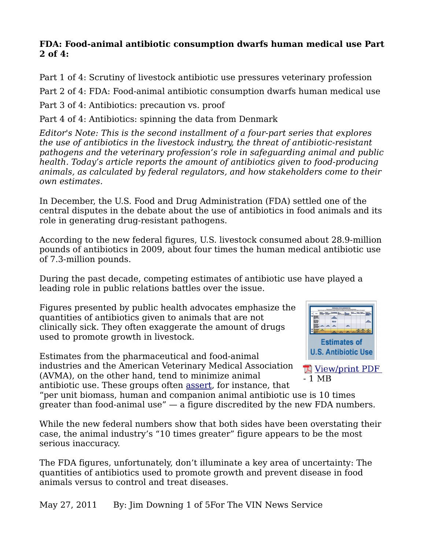#### **FDA: Food-animal antibiotic consumption dwarfs human medical use Part 2 of 4:**

Part 1 of 4: Scrutiny of livestock antibiotic use pressures veterinary profession Part 2 of 4: FDA: Food-animal antibiotic consumption dwarfs human medical use Part 3 of 4: Antibiotics: precaution vs. proof

Part 4 of 4: Antibiotics: spinning the data from Denmark

*Editor's Note: This is the second installment of a four-part series that explores the use of antibiotics in the livestock industry, the threat of antibiotic-resistant pathogens and the veterinary profession's role in safeguarding animal and public health. Today's article reports the amount of antibiotics given to food-producing animals, as calculated by federal regulators, and how stakeholders come to their own estimates.*

In December, the U.S. Food and Drug Administration (FDA) settled one of the central disputes in the debate about the use of antibiotics in food animals and its role in generating drug-resistant pathogens.

According to the new federal figures, U.S. livestock consumed about 28.9-million pounds of antibiotics in 2009, about four times the human medical antibiotic use of 7.3-million pounds.

During the past decade, competing estimates of antibiotic use have played a leading role in public relations battles over the issue.

Figures presented by public health advocates emphasize the quantities of antibiotics given to animals that are not clinically sick. They often exaggerate the amount of drugs used to promote growth in livestock.

Estimates from the pharmaceutical and food-animal industries and the American Veterinary Medical Association (AVMA), on the other hand, tend to minimize animal antibiotic use. These groups often [assert,](http://www.avma.org/public_health/antimicrobial_fact_sheet_veterinarians.asp) for instance, that





"per unit biomass, human and companion animal antibiotic use is 10 times greater than food-animal use" — a figure discredited by the new FDA numbers.

While the new federal numbers show that both sides have been overstating their case, the animal industry's "10 times greater" figure appears to be the most serious inaccuracy.

The FDA figures, unfortunately, don't illuminate a key area of uncertainty: The quantities of antibiotics used to promote growth and prevent disease in food animals versus to control and treat diseases.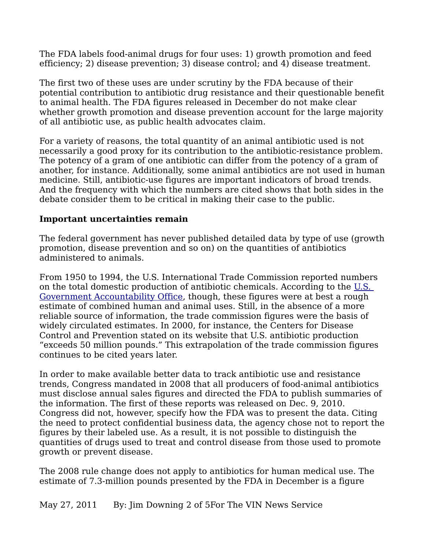The FDA labels food-animal drugs for four uses: 1) growth promotion and feed efficiency; 2) disease prevention; 3) disease control; and 4) disease treatment.

The first two of these uses are under scrutiny by the FDA because of their potential contribution to antibiotic drug resistance and their questionable benefit to animal health. The FDA figures released in December do not make clear whether growth promotion and disease prevention account for the large majority of all antibiotic use, as public health advocates claim.

For a variety of reasons, the total quantity of an animal antibiotic used is not necessarily a good proxy for its contribution to the antibiotic-resistance problem. The potency of a gram of one antibiotic can differ from the potency of a gram of another, for instance. Additionally, some animal antibiotics are not used in human medicine. Still, antibiotic-use figures are important indicators of broad trends. And the frequency with which the numbers are cited shows that both sides in the debate consider them to be critical in making their case to the public.

#### **Important uncertainties remain**

The federal government has never published detailed data by type of use (growth promotion, disease prevention and so on) on the quantities of antibiotics administered to animals.

From 1950 to 1994, the U.S. International Trade Commission reported numbers on the total domestic production of antibiotic chemicals. According to the [U.S.](http://www.gao.gov/archive/1999/hx99132.pdf)  [Government Accountability Office,](http://www.gao.gov/archive/1999/hx99132.pdf) though, these figures were at best a rough estimate of combined human and animal uses. Still, in the absence of a more reliable source of information, the trade commission figures were the basis of widely circulated estimates. In 2000, for instance, the Centers for Disease Control and Prevention stated on its website that U.S. antibiotic production "exceeds 50 million pounds." This extrapolation of the trade commission figures continues to be cited years later.

In order to make available better data to track antibiotic use and resistance trends, Congress mandated in 2008 that all producers of food-animal antibiotics must disclose annual sales figures and directed the FDA to publish summaries of the information. The first of these reports was released on Dec. 9, 2010. Congress did not, however, specify how the FDA was to present the data. Citing the need to protect confidential business data, the agency chose not to report the figures by their labeled use. As a result, it is not possible to distinguish the quantities of drugs used to treat and control disease from those used to promote growth or prevent disease.

The 2008 rule change does not apply to antibiotics for human medical use. The estimate of 7.3-million pounds presented by the FDA in December is a figure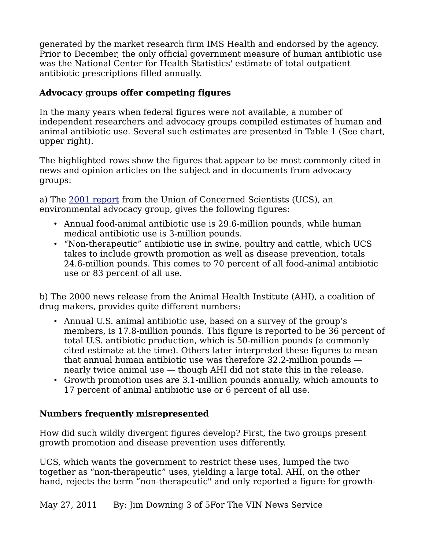generated by the market research firm IMS Health and endorsed by the agency. Prior to December, the only official government measure of human antibiotic use was the National Center for Health Statistics' estimate of total outpatient antibiotic prescriptions filled annually.

## **Advocacy groups offer competing figures**

In the many years when federal figures were not available, a number of independent researchers and advocacy groups compiled estimates of human and animal antibiotic use. Several such estimates are presented in Table 1 (See chart, upper right).

The highlighted rows show the figures that appear to be most commonly cited in news and opinion articles on the subject and in documents from advocacy groups:

a) The [2001 report](http://www.ucsusa.org/food_and_agriculture/science_and_impacts/impacts_industrial_agriculture/hogging-it-estimates-of.html) from the Union of Concerned Scientists (UCS), an environmental advocacy group, gives the following figures:

- Annual food-animal antibiotic use is 29.6-million pounds, while human medical antibiotic use is 3-million pounds.
- "Non-therapeutic" antibiotic use in swine, poultry and cattle, which UCS takes to include growth promotion as well as disease prevention, totals 24.6-million pounds. This comes to 70 percent of all food-animal antibiotic use or 83 percent of all use.

b) The 2000 news release from the Animal Health Institute (AHI), a coalition of drug makers, provides quite different numbers:

- Annual U.S. animal antibiotic use, based on a survey of the group's members, is 17.8-million pounds. This figure is reported to be 36 percent of total U.S. antibiotic production, which is 50-million pounds (a commonly cited estimate at the time). Others later interpreted these figures to mean that annual human antibiotic use was therefore 32.2-million pounds nearly twice animal use — though AHI did not state this in the release.
- Growth promotion uses are 3.1-million pounds annually, which amounts to 17 percent of animal antibiotic use or 6 percent of all use.

## **Numbers frequently misrepresented**

How did such wildly divergent figures develop? First, the two groups present growth promotion and disease prevention uses differently.

UCS, which wants the government to restrict these uses, lumped the two together as "non-therapeutic" uses, yielding a large total. AHI, on the other hand, rejects the term "non-therapeutic" and only reported a figure for growth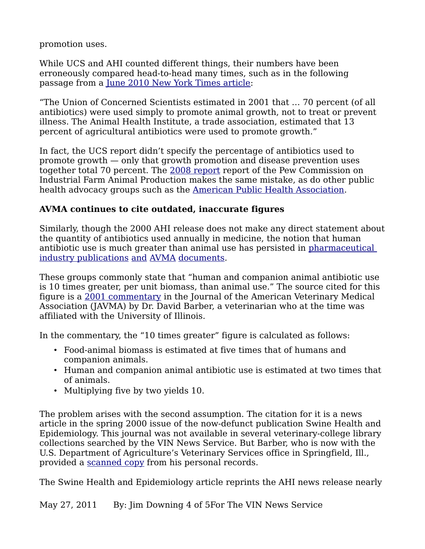promotion uses.

While UCS and AHI counted different things, their numbers have been erroneously compared head-to-head many times, such as in the following passage from a <u>June 2010 New York Times article</u>:

"The Union of Concerned Scientists estimated in 2001 that … 70 percent (of all antibiotics) were used simply to promote animal growth, not to treat or prevent illness. The Animal Health Institute, a trade association, estimated that 13 percent of agricultural antibiotics were used to promote growth."

In fact, the UCS report didn't specify the percentage of antibiotics used to promote growth — only that growth promotion and disease prevention uses together total 70 percent. The [2008 report](http://www.ncifap.org/_images/212-2_AntbioRprt_FIN_web%206.7.10%202.pdf) report of the Pew Commission on Industrial Farm Animal Production makes the same mistake, as do other public health advocacy groups such as the [American Public Health Association.](http://www.apha.org/advocacy/policy/policysearch/default.htm?id=179)

# **AVMA continues to cite outdated, inaccurate figures**

Similarly, though the 2000 AHI release does not make any direct statement about the quantity of antibiotics used annually in medicine, the notion that human antibiotic use is much greater than animal use has persisted in [pharmaceutical](http://www.foodsystemsinsider.com/ccmsdocuments/Food-Systems-Insider/FS2010_07.pdf)  [industry publications](http://www.foodsystemsinsider.com/ccmsdocuments/Food-Systems-Insider/FS2010_07.pdf) [and](http://www.avma.org/advocacy/PEWresponse/PEW_report_response.pdf) [AVMA](http://www.avma.org/public_health/antimicrobial_fact_sheet_veterinarians.asp) [documents.](http://www.avma.org/public_health/antimicrobial_use.asp)

These groups commonly state that "human and companion animal antibiotic use is 10 times greater, per unit biomass, than animal use." The source cited for this figure is a [2001 commentary](http://avmajournals.avma.org/doi/pdf/10.2460/javma.2001.218.1559) in the Journal of the American Veterinary Medical Association (JAVMA) by Dr. David Barber, a veterinarian who at the time was affiliated with the University of Illinois.

In the commentary, the "10 times greater" figure is calculated as follows:

- Food-animal biomass is estimated at five times that of humans and companion animals.
- Human and companion animal antibiotic use is estimated at two times that of animals.
- Multiplying five by two yields 10.

The problem arises with the second assumption. The citation for it is a news article in the spring 2000 issue of the now-defunct publication Swine Health and Epidemiology. This journal was not available in several veterinary-college library collections searched by the VIN News Service. But Barber, who is now with the U.S. Department of Agriculture's Veterinary Services office in Springfield, Ill., provided a [scanned copy](http://www.vin.com/apputil/image/handler.ashx?docid=4903896%20) from his personal records.

The Swine Health and Epidemiology article reprints the AHI news release nearly

May 27, 2011 By: Jim Downing 4 of 5For The VIN News Service